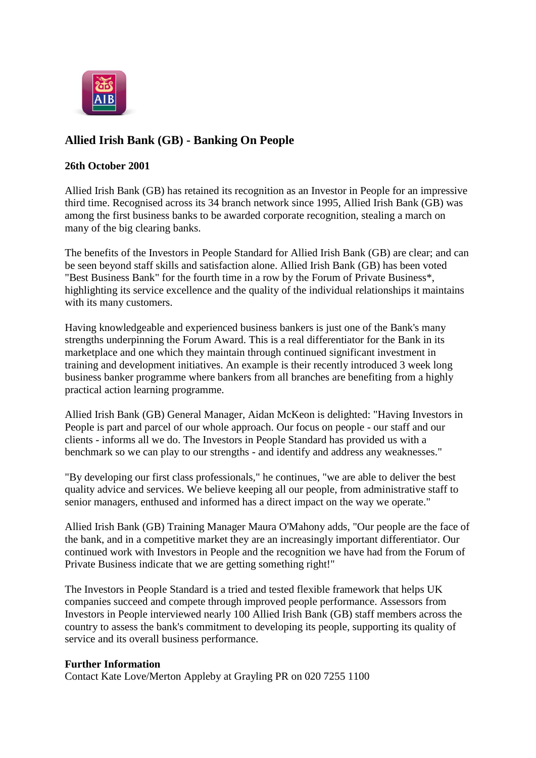

# **Allied Irish Bank (GB) - Banking On People**

## **26th October 2001**

Allied Irish Bank (GB) has retained its recognition as an Investor in People for an impressive third time. Recognised across its 34 branch network since 1995, Allied Irish Bank (GB) was among the first business banks to be awarded corporate recognition, stealing a march on many of the big clearing banks.

The benefits of the Investors in People Standard for Allied Irish Bank (GB) are clear; and can be seen beyond staff skills and satisfaction alone. Allied Irish Bank (GB) has been voted "Best Business Bank" for the fourth time in a row by the Forum of Private Business\*, highlighting its service excellence and the quality of the individual relationships it maintains with its many customers.

Having knowledgeable and experienced business bankers is just one of the Bank's many strengths underpinning the Forum Award. This is a real differentiator for the Bank in its marketplace and one which they maintain through continued significant investment in training and development initiatives. An example is their recently introduced 3 week long business banker programme where bankers from all branches are benefiting from a highly practical action learning programme.

Allied Irish Bank (GB) General Manager, Aidan McKeon is delighted: "Having Investors in People is part and parcel of our whole approach. Our focus on people - our staff and our clients - informs all we do. The Investors in People Standard has provided us with a benchmark so we can play to our strengths - and identify and address any weaknesses."

"By developing our first class professionals," he continues, "we are able to deliver the best quality advice and services. We believe keeping all our people, from administrative staff to senior managers, enthused and informed has a direct impact on the way we operate."

Allied Irish Bank (GB) Training Manager Maura O'Mahony adds, "Our people are the face of the bank, and in a competitive market they are an increasingly important differentiator. Our continued work with Investors in People and the recognition we have had from the Forum of Private Business indicate that we are getting something right!"

The Investors in People Standard is a tried and tested flexible framework that helps UK companies succeed and compete through improved people performance. Assessors from Investors in People interviewed nearly 100 Allied Irish Bank (GB) staff members across the country to assess the bank's commitment to developing its people, supporting its quality of service and its overall business performance.

#### **Further Information**

Contact Kate Love/Merton Appleby at Grayling PR on 020 7255 1100